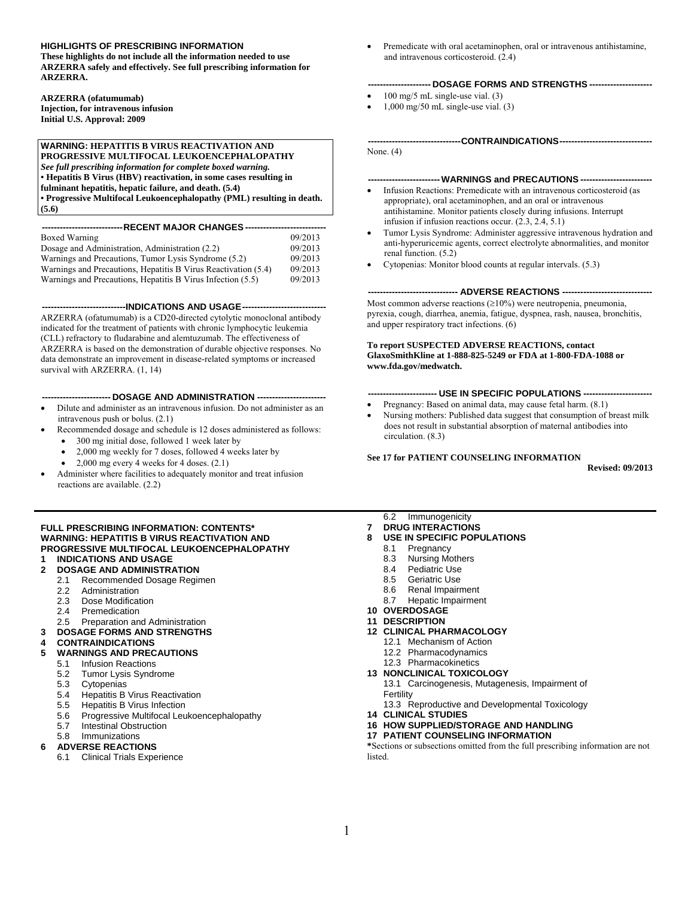### **HIGHLIGHTS OF PRESCRIBING INFORMATION**

**These highlights do not include all the information needed to use ARZERRA safely and effectively. See full prescribing information for ARZERRA.** 

**ARZERRA (ofatumumab)** 

**Injection, for intravenous infusion Initial U.S. Approval: 2009** 

### **WARNING: HEPATITIS B VIRUS REACTIVATION AND**

**PROGRESSIVE MULTIFOCAL LEUKOENCEPHALOPATHY**  *See full prescribing information for complete boxed warning.*  **• Hepatitis B Virus (HBV) reactivation, in some cases resulting in** 

**fulminant hepatitis, hepatic failure, and death. (5.4) • Progressive Multifocal Leukoencephalopathy (PML) resulting in death.** 

**(5.6)** 

| --------------------------RECENT MAJOR CHANGES --------------------------- |         |  |  |  |  |
|----------------------------------------------------------------------------|---------|--|--|--|--|
| Boxed Warning                                                              | 09/2013 |  |  |  |  |
| Dosage and Administration, Administration (2.2)                            | 09/2013 |  |  |  |  |
| Warnings and Precautions, Tumor Lysis Syndrome (5.2)                       | 09/2013 |  |  |  |  |
| Warnings and Precautions, Hepatitis B Virus Reactivation (5.4)             | 09/2013 |  |  |  |  |
| Warnings and Precautions, Hepatitis B Virus Infection (5.5)                | 09/2013 |  |  |  |  |

 **----------------------------INDICATIONS AND USAGE ----------------------------** 

ARZERRA (ofatumumab) is a CD20-directed cytolytic monoclonal antibody indicated for the treatment of patients with chronic lymphocytic leukemia (CLL) refractory to fludarabine and alemtuzumab. The effectiveness of ARZERRA is based on the demonstration of durable objective responses. No data demonstrate an improvement in disease-related symptoms or increased survival with ARZERRA. (1, 14)

#### ---- DOSAGE AND ADMINISTRATION -----

- Dilute and administer as an intravenous infusion. Do not administer as an intravenous push or bolus. (2.1)
- Recommended dosage and schedule is 12 doses administered as follows: • 300 mg initial dose, followed 1 week later by
	- 2,000 mg weekly for 7 doses, followed 4 weeks later by
	- $2,000$  mg every 4 weeks for 4 doses.  $(2.1)$
- Administer where facilities to adequately monitor and treat infusion reactions are available. (2.2)

#### **FULL PRESCRIBING INFORMATION: CONTENTS\* [WARNING: HEPATITIS B VIRUS REACTIVATION AND](#page-1-0)  [PROGRESSIVE MULTIFOCAL LEUKOENCEPHALOPATHY](#page-1-0) [1](#page-1-0) [INDICATIONS AND USAGE](#page-1-0)**

## **[2](#page-1-0) [DOSAGE AND ADMINISTRATION](#page-1-0)**

- [2.1](#page-1-0) [Recommended Dosage Regimen](#page-1-0)
- [2.2](#page-1-0) [Administration](#page-1-0)
- [2.3](#page-2-0) [Dose Modification](#page-2-0)
- [2.4](#page-2-0) [Premedication](#page-2-0)
- [2.5](#page-2-0) [Preparation and Administration](#page-2-0)
- **[3](#page-3-0) [DOSAGE FORMS AND STRENGTHS](#page-3-0)**
- 
- **[4](#page-3-0) [CONTRAINDICATIONS](#page-3-0) [5](#page-3-0) [WARNINGS AND PRECAUTIONS](#page-3-0)**
- [5.1](#page-3-0) [Infusion Reactions](#page-3-0)
	- [5.2](#page-4-0) [Tumor Lysis Syndrome](#page-4-0)
	- [5.3](#page-4-0) [Cytopenias](#page-4-0)
	- [5.4](#page-4-0) [Hepatitis B Virus Reactivation](#page-4-0)
	- [5.5](#page-5-0) [Hepatitis B Virus Infection](#page-5-0)<br>5.6 Progressive Multifocal Leu
	- [Progressive Multifocal Leukoencephalopathy](#page-5-0)
	- [5.7](#page-5-0) [Intestinal Obstruction](#page-5-0)
	- [5.8](#page-5-0) [Immunizations](#page-5-0)

### **[6](#page-5-0) [ADVERSE REACTIONS](#page-5-0)**

[6.1](#page-6-0) [Clinical Trials Experience](#page-6-0)

• Premedicate with oral acetaminophen, oral or intravenous antihistamine, and intravenous corticosteroid. (2.4)

#### **--------------------- DOSAGE FORMS AND STRENGTHS ---------------------**

- $100 \text{ mg/s}$  mL single-use vial.  $(3)$
- 1,000 mg/50 mL single-use vial. (3)

None. (4)

### **------------------------ WARNINGS and PRECAUTIONS ------------------------**

 **------------------------------- CONTRAINDICATIONS -------------------------------** 

- Infusion Reactions: Premedicate with an intravenous corticosteroid (as appropriate), oral acetaminophen, and an oral or intravenous antihistamine. Monitor patients closely during infusions. Interrupt infusion if infusion reactions occur. (2.3, 2.4, 5.1)
- Tumor Lysis Syndrome: Administer aggressive intravenous hydration and anti-hyperuricemic agents, correct electrolyte abnormalities, and monitor renal function. (5.2)
- Cytopenias: Monitor blood counts at regular intervals. (5.3)

#### **------------------------------ ADVERSE REACTIONS ------------------------------**

Most common adverse reactions (≥10%) were neutropenia, pneumonia, pyrexia, cough, diarrhea, anemia, fatigue, dyspnea, rash, nausea, bronchitis, and upper respiratory tract infections. (6)

**To report SUSPECTED ADVERSE REACTIONS, contact GlaxoSmithKline at 1-888-825-5249 or FDA at 1-800-FDA-1088 or www.fda.gov/medwatch.**

### **----------------------- USE IN SPECIFIC POPULATIONS -----------------------**

- Pregnancy: Based on animal data, may cause fetal harm. (8.1)
- Nursing mothers: Published data suggest that consumption of breast milk does not result in substantial absorption of maternal antibodies into circulation. (8.3)

#### **See 17 for PATIENT COUNSELING INFORMATION**

**Revised: 09/2013** 

[6.2](#page-8-0) [Immunogenicity](#page-8-0)

- **[7](#page-8-0) [DRUG INTERACTIONS](#page-8-0) [8](#page-8-0) [USE IN SPECIFIC POPULATIONS](#page-8-0)**
	- [8.1](#page-8-0) [Pregnancy](#page-8-0)
	- [8.3](#page-9-0) [Nursing Mothers](#page-9-0)
	- [8.4](#page-9-0) [Pediatric Use](#page-9-0)
	-
	- [8.5](#page-9-0) [Geriatric Use](#page-9-0)<br>8.6 Renal Impairr [Renal Impairment](#page-9-0)
	- [8.7](#page-9-0) [Hepatic Impairment](#page-9-0)
- **[10](#page-9-0) [OVERDOSAGE](#page-9-0)**
- **[11](#page-9-0) [DESCRIPTION](#page-9-0)**
- **[12](#page-10-0) [CLINICAL PHARMACOLOGY](#page-10-0)**
	- [12.1](#page-10-0) [Mechanism of Action](#page-10-0)
	- [12.2](#page-10-0) [Pharmacodynamics](#page-10-0)
	- [12.3](#page-10-0) [Pharmacokinetics](#page-10-0)

#### **[13](#page-11-0) [NONCLINICAL TOXICOLOGY](#page-11-0)**

[13.1](#page-11-0) [Carcinogenesis, Mutagenesis, Impairment of](#page-11-0)  **[Fertility](#page-11-0)** 

- [13.3](#page-11-0) [Reproductive and Developmental Toxicology](#page-11-0)
- **[14](#page-12-0) [CLINICAL STUDIES](#page-12-0)**

### **[16](#page-12-0) [HOW SUPPLIED/STORAGE AND HANDLING](#page-12-0)**

### **[17](#page-13-0) [PATIENT COUNSELING INFORMATION](#page-13-0)**

**\***S[e](#page-13-0)ctions or subsections omitted from the full prescribing information are not listed.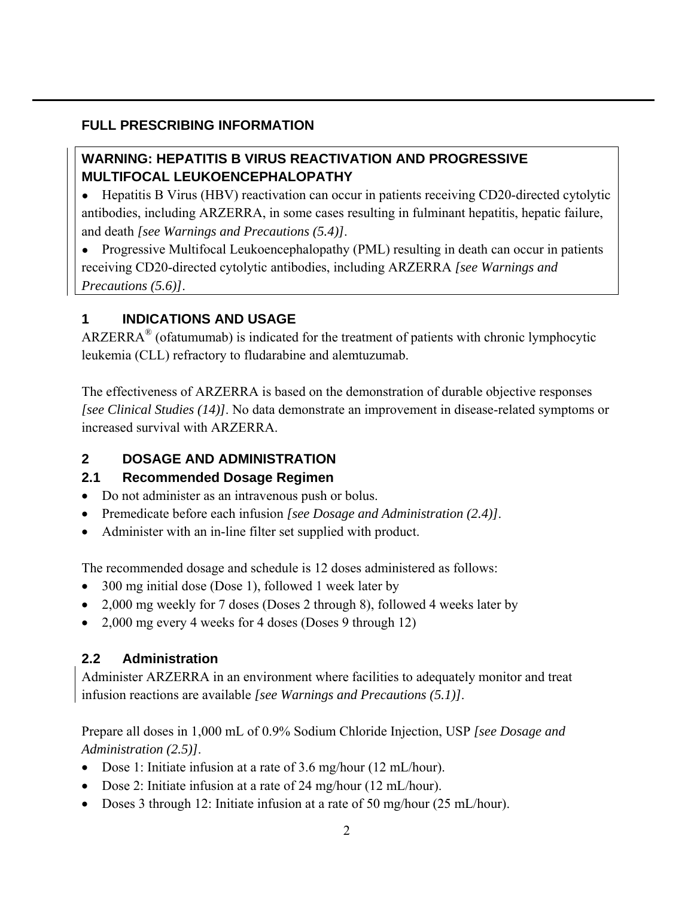## <span id="page-1-0"></span>**FULL PRESCRIBING INFORMATION**

# **WARNING: HEPATITIS B VIRUS REACTIVATION AND PROGRESSIVE MULTIFOCAL LEUKOENCEPHALOPATHY**

• Hepatitis B Virus (HBV) reactivation can occur in patients receiving CD20-directed cytolytic antibodies, including ARZERRA, in some cases resulting in fulminant hepatitis, hepatic failure, and death *[see Warnings and Precautions (5.4)]*.

• Progressive Multifocal Leukoencephalopathy (PML) resulting in death can occur in patients receiving CD20-directed cytolytic antibodies, including ARZERRA *[see Warnings and Precautions (5.6)]*.

# **1 INDICATIONS AND USAGE**

ARZERRA<sup>®</sup> (ofatumumab) is indicated for the treatment of patients with chronic lymphocytic leukemia (CLL) refractory to fludarabine and alemtuzumab.

The effectiveness of ARZERRA is based on the demonstration of durable objective responses *[see Clinical Studies (14)]*. No data demonstrate an improvement in disease-related symptoms or increased survival with ARZERRA.

## **2 DOSAGE AND ADMINISTRATION**

## **2.1 Recommended Dosage Regimen**

- Do not administer as an intravenous push or bolus.
- Premedicate before each infusion *[see Dosage and Administration (2.4)]*.
- Administer with an in-line filter set supplied with product.

The recommended dosage and schedule is 12 doses administered as follows:

- 300 mg initial dose (Dose 1), followed 1 week later by
- 2,000 mg weekly for 7 doses (Doses 2 through 8), followed 4 weeks later by
- 2,000 mg every 4 weeks for 4 doses (Doses 9 through 12)

# **2.2 Administration**

Administer ARZERRA in an environment where facilities to adequately monitor and treat infusion reactions are available *[see Warnings and Precautions (5.1)]*.

Prepare all doses in 1,000 mL of 0.9% Sodium Chloride Injection, USP *[see Dosage and Administration (2.5)]*.

- Dose 1: Initiate infusion at a rate of 3.6 mg/hour (12 mL/hour).
- Dose 2: Initiate infusion at a rate of 24 mg/hour (12 mL/hour).
- Doses 3 through 12: Initiate infusion at a rate of 50 mg/hour (25 mL/hour).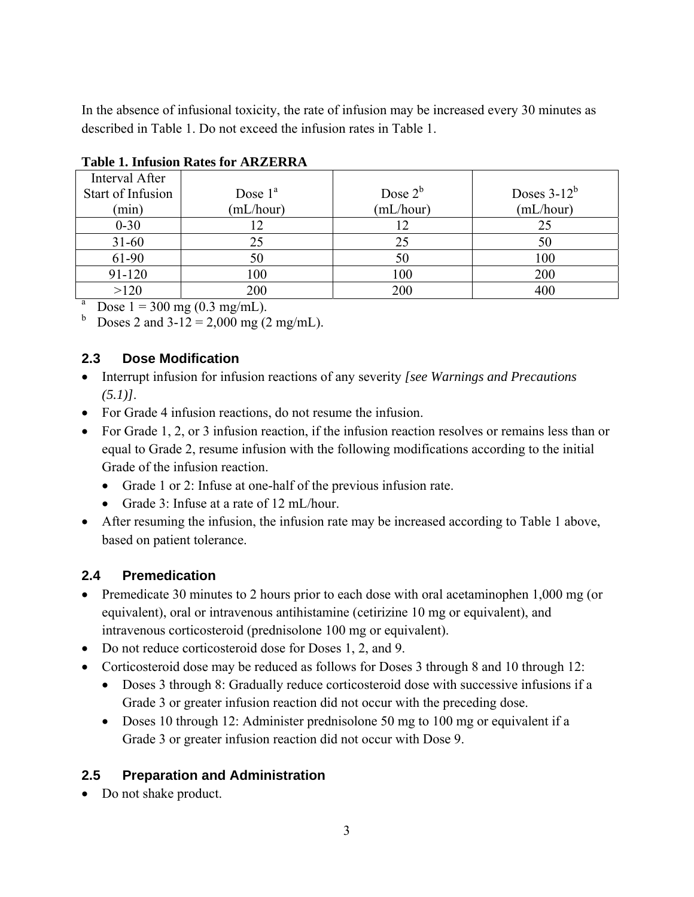<span id="page-2-0"></span>In the absence of infusional toxicity, the rate of infusion may be increased every 30 minutes as described in Table 1. Do not exceed the infusion rates in Table 1.

| Interval After    |                                |            |                |  |  |
|-------------------|--------------------------------|------------|----------------|--|--|
| Start of Infusion | Dose $1^a$                     | Dose $2^b$ | Doses $3-12^b$ |  |  |
| (min)             | (mL/hour)                      | (mL/hour)  | (mL/hour)      |  |  |
| $0 - 30$          |                                |            | 25             |  |  |
| $31 - 60$         | 25                             | 25         | 50             |  |  |
| 61-90             | 50                             | 50         | 100            |  |  |
| 91-120            | 100                            | 100        | 200            |  |  |
| >120              | 200                            | 200        | 400            |  |  |
| a                 | Dose $1 = 300$ mg (0.3 mg/mL). |            |                |  |  |

## **Table 1. Infusion Rates for ARZERRA**

<sup>b</sup> Doses 2 and  $3-12 = 2,000$  mg (2 mg/mL).

## **2.3 Dose Modification**

- Interrupt infusion for infusion reactions of any severity *[see Warnings and Precautions (5.1)]*.
- For Grade 4 infusion reactions, do not resume the infusion.
- For Grade 1, 2, or 3 infusion reaction, if the infusion reaction resolves or remains less than or equal to Grade 2, resume infusion with the following modifications according to the initial Grade of the infusion reaction.
	- Grade 1 or 2: Infuse at one-half of the previous infusion rate.
	- Grade 3: Infuse at a rate of 12 mL/hour.
- After resuming the infusion, the infusion rate may be increased according to Table 1 above, based on patient tolerance.

# **2.4 Premedication**

- Premedicate 30 minutes to 2 hours prior to each dose with oral acetaminophen 1,000 mg (or equivalent), oral or intravenous antihistamine (cetirizine 10 mg or equivalent), and intravenous corticosteroid (prednisolone 100 mg or equivalent).
- Do not reduce corticosteroid dose for Doses 1, 2, and 9.
- Corticosteroid dose may be reduced as follows for Doses 3 through 8 and 10 through 12:
	- Doses 3 through 8: Gradually reduce corticosteroid dose with successive infusions if a Grade 3 or greater infusion reaction did not occur with the preceding dose.
	- Doses 10 through 12: Administer prednisolone 50 mg to 100 mg or equivalent if a Grade 3 or greater infusion reaction did not occur with Dose 9.

# **2.5 Preparation and Administration**

• Do not shake product.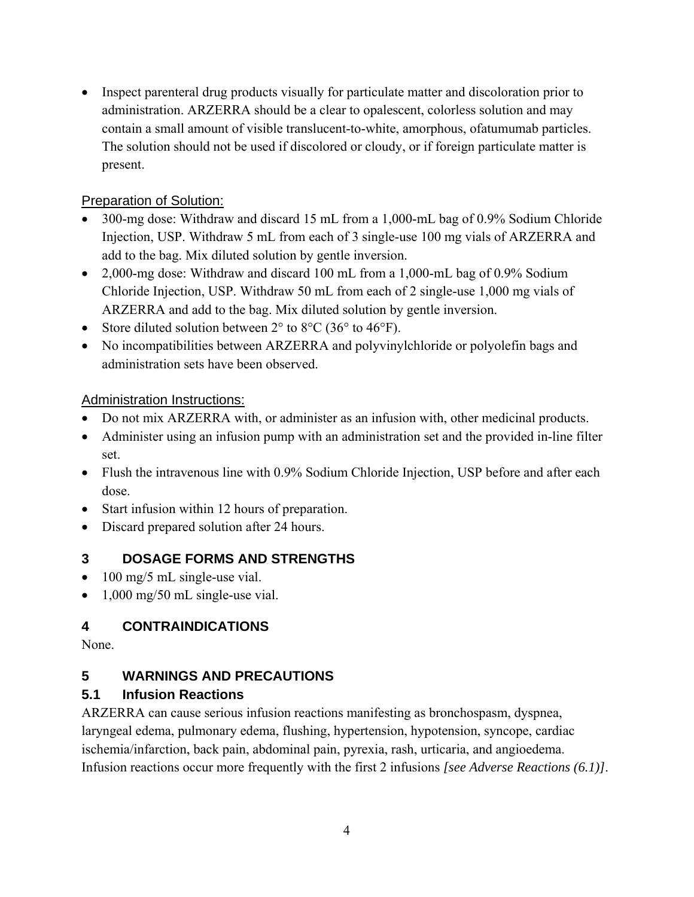<span id="page-3-0"></span>• Inspect parenteral drug products visually for particulate matter and discoloration prior to administration. ARZERRA should be a clear to opalescent, colorless solution and may contain a small amount of visible translucent-to-white, amorphous, ofatumumab particles. The solution should not be used if discolored or cloudy, or if foreign particulate matter is present.

## Preparation of Solution:

- 300-mg dose: Withdraw and discard 15 mL from a 1,000-mL bag of 0.9% Sodium Chloride Injection, USP. Withdraw 5 mL from each of 3 single-use 100 mg vials of ARZERRA and add to the bag. Mix diluted solution by gentle inversion.
- 2,000-mg dose: Withdraw and discard 100 mL from a 1,000-mL bag of 0.9% Sodium Chloride Injection, USP. Withdraw 50 mL from each of 2 single-use 1,000 mg vials of ARZERRA and add to the bag. Mix diluted solution by gentle inversion.
- Store diluted solution between  $2^{\circ}$  to  $8^{\circ}$ C (36° to 46°F).
- No incompatibilities between ARZERRA and polyvinylchloride or polyolefin bags and administration sets have been observed.

## Administration Instructions:

- Do not mix ARZERRA with, or administer as an infusion with, other medicinal products.
- Administer using an infusion pump with an administration set and the provided in-line filter set.
- Flush the intravenous line with 0.9% Sodium Chloride Injection, USP before and after each dose.
- Start infusion within 12 hours of preparation.
- Discard prepared solution after 24 hours.

# **3 DOSAGE FORMS AND STRENGTHS**

- 100 mg/5 mL single-use vial.
- 1,000 mg/50 mL single-use vial.

## **4 CONTRAINDICATIONS**

None.

# **5 WARNINGS AND PRECAUTIONS**

## **5.1 Infusion Reactions**

ARZERRA can cause serious infusion reactions manifesting as bronchospasm, dyspnea, laryngeal edema, pulmonary edema, flushing, hypertension, hypotension, syncope, cardiac ischemia/infarction, back pain, abdominal pain, pyrexia, rash, urticaria, and angioedema. Infusion reactions occur more frequently with the first 2 infusions *[see Adverse Reactions (6.1)]*.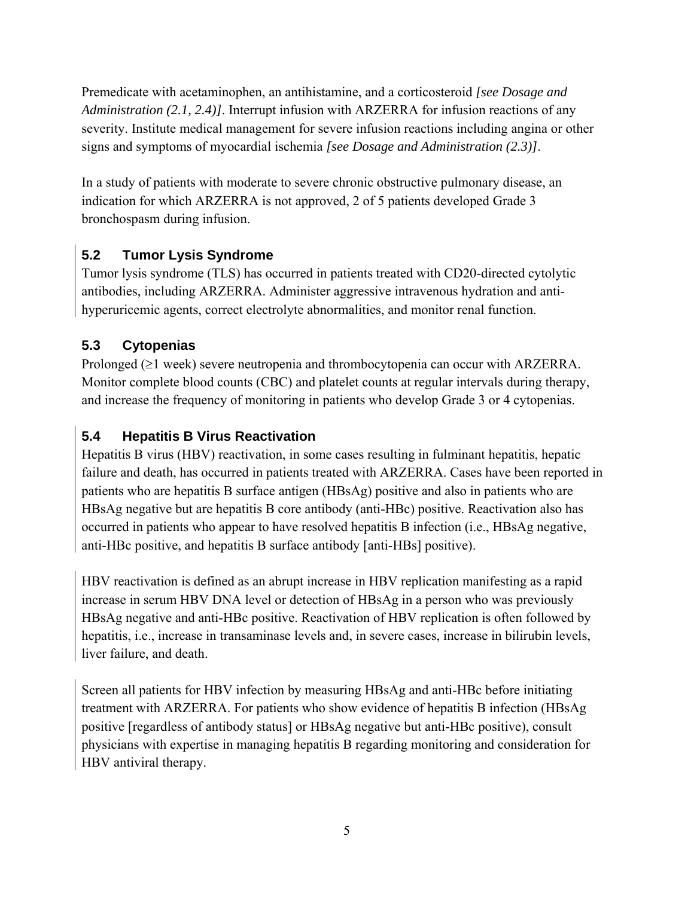<span id="page-4-0"></span>Premedicate with acetaminophen, an antihistamine, and a corticosteroid *[see Dosage and Administration (2.1, 2.4)]*. Interrupt infusion with ARZERRA for infusion reactions of any severity. Institute medical management for severe infusion reactions including angina or other signs and symptoms of myocardial ischemia *[see Dosage and Administration (2.3)]*.

In a study of patients with moderate to severe chronic obstructive pulmonary disease, an indication for which ARZERRA is not approved, 2 of 5 patients developed Grade 3 bronchospasm during infusion.

# **5.2 Tumor Lysis Syndrome**

Tumor lysis syndrome (TLS) has occurred in patients treated with CD20-directed cytolytic antibodies, including ARZERRA. Administer aggressive intravenous hydration and antihyperuricemic agents, correct electrolyte abnormalities, and monitor renal function.

# **5.3 Cytopenias**

Prolonged (≥1 week) severe neutropenia and thrombocytopenia can occur with ARZERRA. Monitor complete blood counts (CBC) and platelet counts at regular intervals during therapy, and increase the frequency of monitoring in patients who develop Grade 3 or 4 cytopenias.

# **5.4 Hepatitis B Virus Reactivation**

Hepatitis B virus (HBV) reactivation, in some cases resulting in fulminant hepatitis, hepatic failure and death, has occurred in patients treated with ARZERRA. Cases have been reported in patients who are hepatitis B surface antigen (HBsAg) positive and also in patients who are HBsAg negative but are hepatitis B core antibody (anti-HBc) positive. Reactivation also has occurred in patients who appear to have resolved hepatitis B infection (i.e., HBsAg negative, anti-HBc positive, and hepatitis B surface antibody [anti-HBs] positive).

HBV reactivation is defined as an abrupt increase in HBV replication manifesting as a rapid increase in serum HBV DNA level or detection of HBsAg in a person who was previously HBsAg negative and anti-HBc positive. Reactivation of HBV replication is often followed by hepatitis, i.e., increase in transaminase levels and, in severe cases, increase in bilirubin levels, liver failure, and death.

Screen all patients for HBV infection by measuring HBsAg and anti-HBc before initiating treatment with ARZERRA. For patients who show evidence of hepatitis B infection (HBsAg positive [regardless of antibody status] or HBsAg negative but anti-HBc positive), consult physicians with expertise in managing hepatitis B regarding monitoring and consideration for HBV antiviral therapy.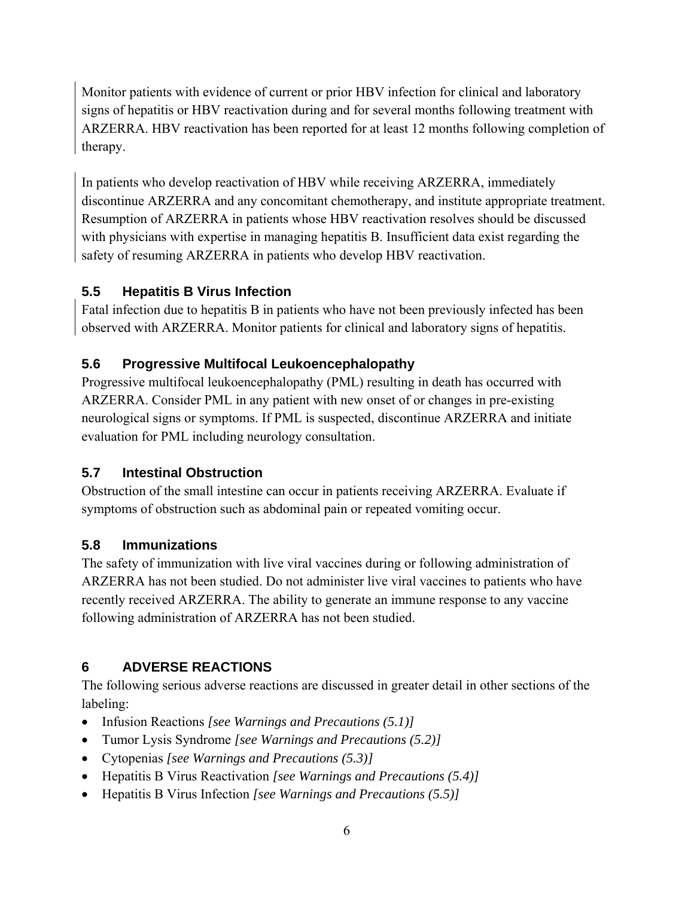<span id="page-5-0"></span>Monitor patients with evidence of current or prior HBV infection for clinical and laboratory signs of hepatitis or HBV reactivation during and for several months following treatment with ARZERRA. HBV reactivation has been reported for at least 12 months following completion of therapy.

In patients who develop reactivation of HBV while receiving ARZERRA, immediately discontinue ARZERRA and any concomitant chemotherapy, and institute appropriate treatment. Resumption of ARZERRA in patients whose HBV reactivation resolves should be discussed with physicians with expertise in managing hepatitis B. Insufficient data exist regarding the safety of resuming ARZERRA in patients who develop HBV reactivation.

## **5.5 Hepatitis B Virus Infection**

Fatal infection due to hepatitis B in patients who have not been previously infected has been observed with ARZERRA. Monitor patients for clinical and laboratory signs of hepatitis.

## **5.6 Progressive Multifocal Leukoencephalopathy**

Progressive multifocal leukoencephalopathy (PML) resulting in death has occurred with ARZERRA. Consider PML in any patient with new onset of or changes in pre-existing neurological signs or symptoms. If PML is suspected, discontinue ARZERRA and initiate evaluation for PML including neurology consultation.

## **5.7 Intestinal Obstruction**

Obstruction of the small intestine can occur in patients receiving ARZERRA. Evaluate if symptoms of obstruction such as abdominal pain or repeated vomiting occur.

## **5.8 Immunizations**

The safety of immunization with live viral vaccines during or following administration of ARZERRA has not been studied. Do not administer live viral vaccines to patients who have recently received ARZERRA. The ability to generate an immune response to any vaccine following administration of ARZERRA has not been studied.

# **6 ADVERSE REACTIONS**

The following serious adverse reactions are discussed in greater detail in other sections of the labeling:

- Infusion Reactions *[see Warnings and Precautions (5.1)]*
- Tumor Lysis Syndrome *[see Warnings and Precautions (5.2)]*
- Cytopenias *[see Warnings and Precautions (5.3)]*
- Hepatitis B Virus Reactivation *[see Warnings and Precautions (5.4)]*
- Hepatitis B Virus Infection *[see Warnings and Precautions (5.5)]*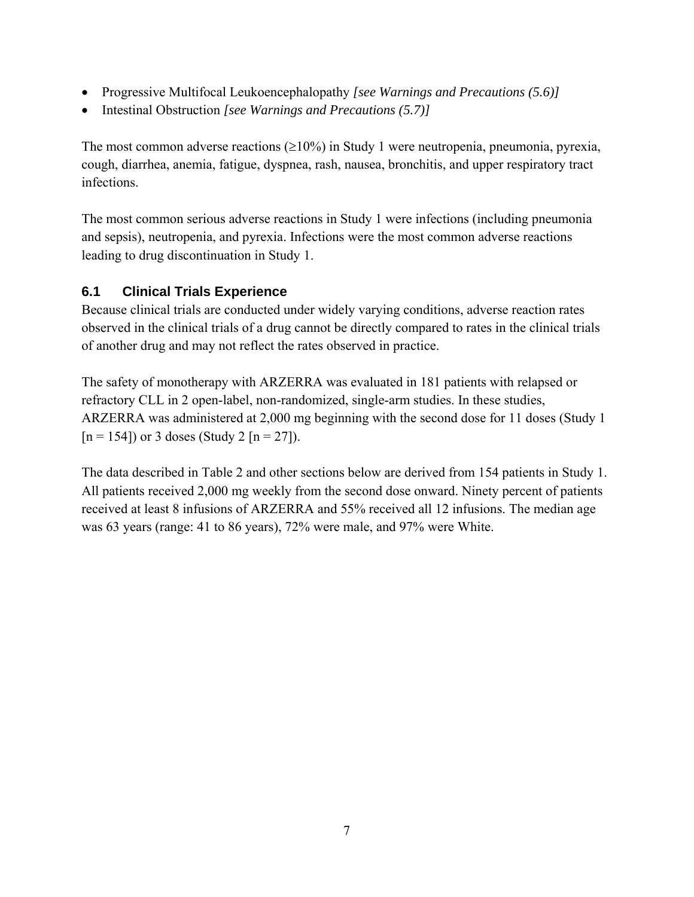- <span id="page-6-0"></span>• Progressive Multifocal Leukoencephalopathy *[see Warnings and Precautions (5.6)]*
- Intestinal Obstruction *[see Warnings and Precautions (5.7)]*

The most common adverse reactions  $(\geq 10\%)$  in Study 1 were neutropenia, pneumonia, pyrexia, cough, diarrhea, anemia, fatigue, dyspnea, rash, nausea, bronchitis, and upper respiratory tract infections.

The most common serious adverse reactions in Study 1 were infections (including pneumonia and sepsis), neutropenia, and pyrexia. Infections were the most common adverse reactions leading to drug discontinuation in Study 1.

## **6.1 Clinical Trials Experience**

Because clinical trials are conducted under widely varying conditions, adverse reaction rates observed in the clinical trials of a drug cannot be directly compared to rates in the clinical trials of another drug and may not reflect the rates observed in practice.

The safety of monotherapy with ARZERRA was evaluated in 181 patients with relapsed or refractory CLL in 2 open-label, non-randomized, single-arm studies. In these studies, ARZERRA was administered at 2,000 mg beginning with the second dose for 11 doses (Study 1  $[n = 154]$  or 3 doses (Study 2  $[n = 27]$ ).

The data described in Table 2 and other sections below are derived from 154 patients in Study 1. All patients received 2,000 mg weekly from the second dose onward. Ninety percent of patients received at least 8 infusions of ARZERRA and 55% received all 12 infusions. The median age was 63 years (range: 41 to 86 years), 72% were male, and 97% were White.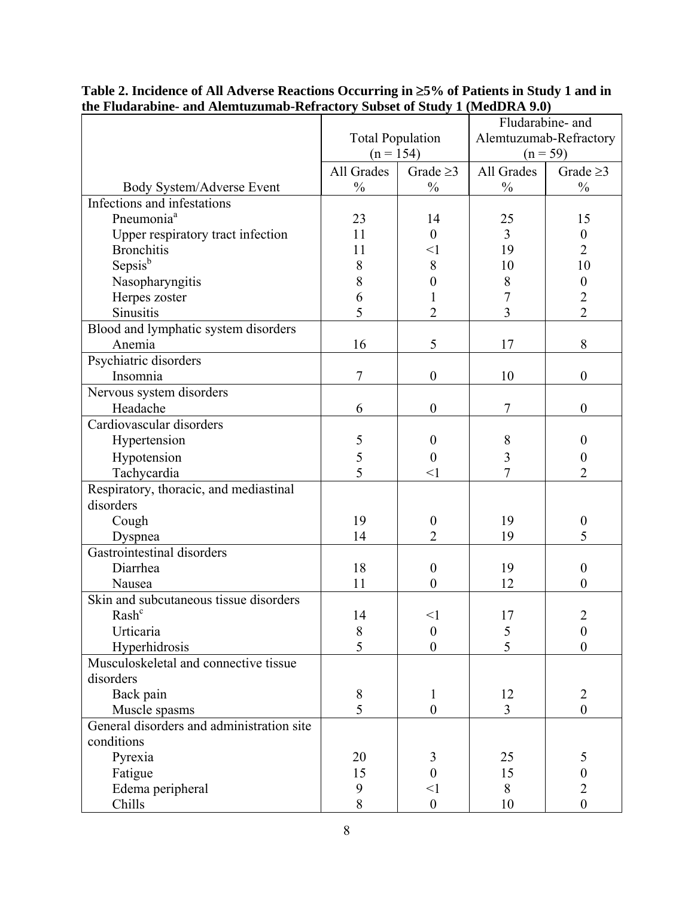|                                                        |                              |                  |                              | Fludarabine- and                 |
|--------------------------------------------------------|------------------------------|------------------|------------------------------|----------------------------------|
|                                                        | <b>Total Population</b>      |                  | Alemtuzumab-Refractory       |                                  |
|                                                        | $(n = 154)$                  |                  | $(n = 59)$                   |                                  |
|                                                        | All Grades<br>Grade $\geq$ 3 |                  | All Grades<br>Grade $\geq$ 3 |                                  |
| Body System/Adverse Event                              | $\frac{0}{0}$                | $\frac{0}{0}$    | $\frac{0}{0}$                | $\frac{0}{0}$                    |
| Infections and infestations                            |                              |                  |                              |                                  |
| Pneumonia <sup>a</sup>                                 | 23                           | 14               | 25                           | 15                               |
|                                                        | 11                           | $\theta$         | $\overline{3}$               | $\mathbf{0}$                     |
| Upper respiratory tract infection<br><b>Bronchitis</b> | 11                           | $\leq$ 1         |                              | $\overline{2}$                   |
|                                                        |                              |                  | 19<br>10                     | 10                               |
| Sepsisb                                                | 8                            | 8                |                              |                                  |
| Nasopharyngitis                                        | 8                            | 0                | 8                            | $\boldsymbol{0}$                 |
| Herpes zoster                                          | 6<br>5                       |                  | 7                            | $\overline{2}$<br>$\overline{2}$ |
| Sinusitis                                              |                              | $\overline{2}$   | $\overline{3}$               |                                  |
| Blood and lymphatic system disorders                   |                              |                  |                              |                                  |
| Anemia                                                 | 16                           | 5                | 17                           | 8                                |
| Psychiatric disorders                                  |                              |                  |                              |                                  |
| Insomnia                                               | $\overline{7}$               | $\boldsymbol{0}$ | 10                           | $\boldsymbol{0}$                 |
| Nervous system disorders                               |                              |                  |                              |                                  |
| Headache                                               | 6                            | $\boldsymbol{0}$ | $\overline{7}$               | $\theta$                         |
| Cardiovascular disorders                               |                              |                  |                              |                                  |
| Hypertension                                           | 5                            | $\theta$         | 8                            | $\boldsymbol{0}$                 |
| Hypotension                                            | 5                            | $\boldsymbol{0}$ | 3                            | $\boldsymbol{0}$                 |
| Tachycardia                                            | 5                            | $<$ l            | 7                            | $\overline{2}$                   |
| Respiratory, thoracic, and mediastinal                 |                              |                  |                              |                                  |
| disorders                                              |                              |                  |                              |                                  |
| Cough                                                  | 19                           | $\boldsymbol{0}$ | 19                           | $\boldsymbol{0}$                 |
| Dyspnea                                                | 14                           | $\overline{2}$   | 19                           | 5                                |
| Gastrointestinal disorders                             |                              |                  |                              |                                  |
| Diarrhea                                               | 18                           | $\theta$         | 19                           | $\theta$                         |
| Nausea                                                 | 11                           | $\theta$         | 12                           | $\theta$                         |
| Skin and subcutaneous tissue disorders                 |                              |                  |                              |                                  |
| Rash <sup>c</sup>                                      | 14                           | $<$ l            | 17                           | 2                                |
| Urticaria                                              | 8                            | $\boldsymbol{0}$ | 5                            | $\boldsymbol{0}$                 |
| Hyperhidrosis                                          | 5                            | $\boldsymbol{0}$ | 5                            | $\boldsymbol{0}$                 |
| Musculoskeletal and connective tissue                  |                              |                  |                              |                                  |
| disorders                                              |                              |                  |                              |                                  |
| Back pain                                              | $8\,$                        | $\mathbf{1}$     | 12                           | $\overline{2}$                   |
| Muscle spasms                                          | 5                            | $\boldsymbol{0}$ | 3                            | $\boldsymbol{0}$                 |
| General disorders and administration site              |                              |                  |                              |                                  |
| conditions                                             |                              |                  |                              |                                  |
| Pyrexia                                                | 20                           | 3                | 25                           | 5                                |
| Fatigue                                                | 15                           | $\overline{0}$   | 15                           | $\boldsymbol{0}$                 |
| Edema peripheral                                       | 9                            | $\leq$ 1         | 8                            | $\overline{2}$                   |
| Chills                                                 | 8                            | $\boldsymbol{0}$ | 10                           | $\overline{0}$                   |

**Table 2. Incidence of All Adverse Reactions Occurring in** ≥**5% of Patients in Study 1 and in the Fludarabine- and Alemtuzumab-Refractory Subset of Study 1 (MedDRA 9.0)**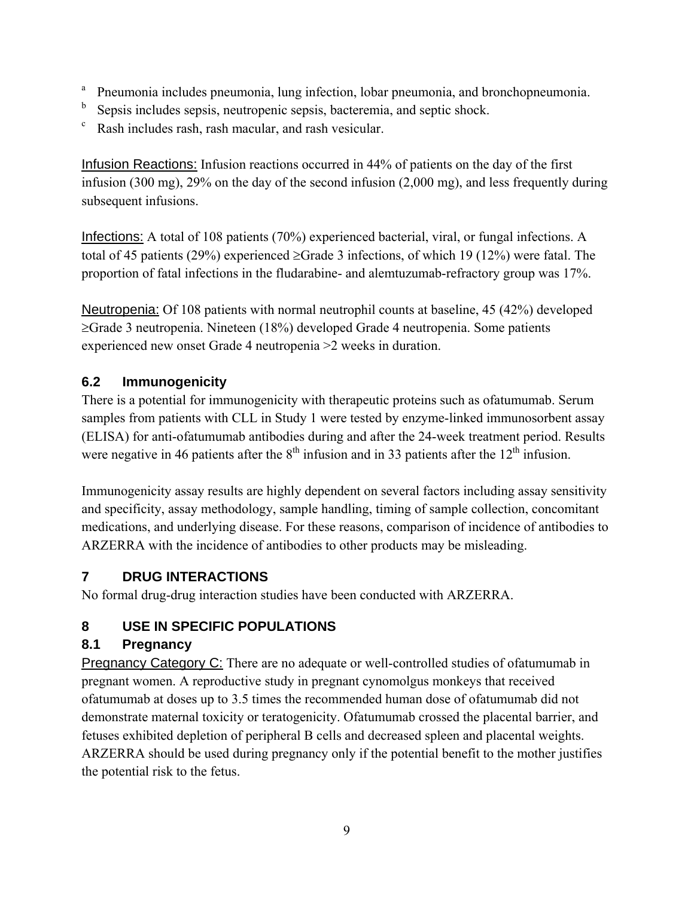- <span id="page-8-0"></span>a Pneumonia includes pneumonia, lung infection, lobar pneumonia, and bronchopneumonia.
- b Sepsis includes sepsis, neutropenic sepsis, bacteremia, and septic shock.
- Rash includes rash, rash macular, and rash vesicular.

Infusion Reactions: Infusion reactions occurred in 44% of patients on the day of the first infusion (300 mg), 29% on the day of the second infusion (2,000 mg), and less frequently during subsequent infusions.

Infections: A total of 108 patients (70%) experienced bacterial, viral, or fungal infections. A total of 45 patients (29%) experienced ≥Grade 3 infections, of which 19 (12%) were fatal. The proportion of fatal infections in the fludarabine- and alemtuzumab-refractory group was 17%.

Neutropenia: Of 108 patients with normal neutrophil counts at baseline, 45 (42%) developed ≥Grade 3 neutropenia. Nineteen (18%) developed Grade 4 neutropenia. Some patients experienced new onset Grade 4 neutropenia >2 weeks in duration.

# **6.2 Immunogenicity**

There is a potential for immunogenicity with therapeutic proteins such as ofatumumab. Serum samples from patients with CLL in Study 1 were tested by enzyme-linked immunosorbent assay (ELISA) for anti-ofatumumab antibodies during and after the 24-week treatment period. Results were negative in 46 patients after the  $8<sup>th</sup>$  infusion and in 33 patients after the  $12<sup>th</sup>$  infusion.

Immunogenicity assay results are highly dependent on several factors including assay sensitivity and specificity, assay methodology, sample handling, timing of sample collection, concomitant medications, and underlying disease. For these reasons, comparison of incidence of antibodies to ARZERRA with the incidence of antibodies to other products may be misleading.

# **7 DRUG INTERACTIONS**

No formal drug-drug interaction studies have been conducted with ARZERRA.

# **8 USE IN SPECIFIC POPULATIONS**

# **8.1 Pregnancy**

Pregnancy Category C: There are no adequate or well-controlled studies of ofatumumab in pregnant women. A reproductive study in pregnant cynomolgus monkeys that received ofatumumab at doses up to 3.5 times the recommended human dose of ofatumumab did not demonstrate maternal toxicity or teratogenicity. Ofatumumab crossed the placental barrier, and fetuses exhibited depletion of peripheral B cells and decreased spleen and placental weights. ARZERRA should be used during pregnancy only if the potential benefit to the mother justifies the potential risk to the fetus.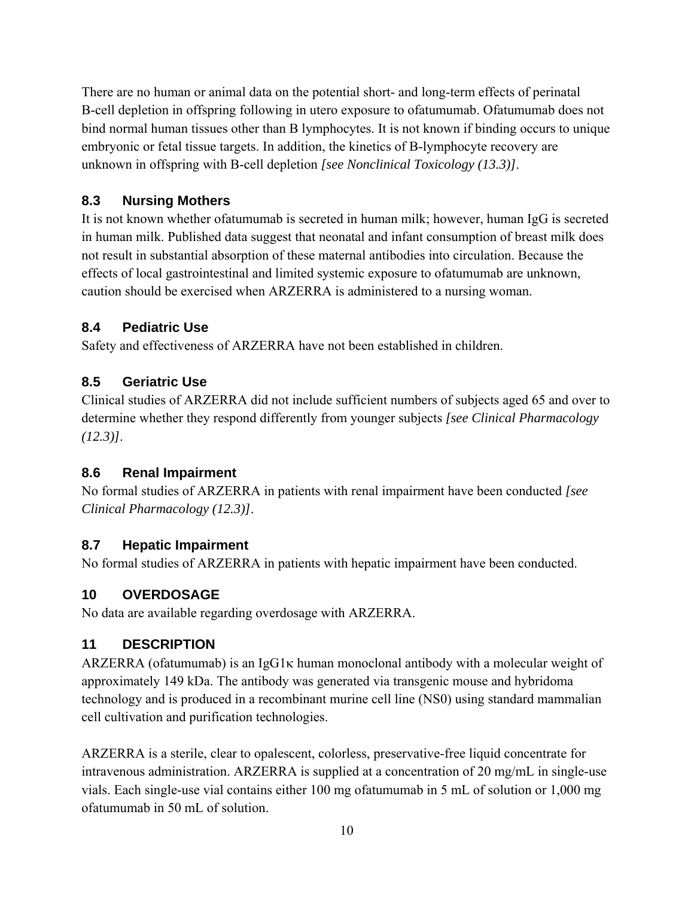<span id="page-9-0"></span>There are no human or animal data on the potential short- and long-term effects of perinatal B-cell depletion in offspring following in utero exposure to ofatumumab. Ofatumumab does not bind normal human tissues other than B lymphocytes. It is not known if binding occurs to unique embryonic or fetal tissue targets. In addition, the kinetics of B-lymphocyte recovery are unknown in offspring with B-cell depletion *[see Nonclinical Toxicology (13.3)]*.

## **8.3 Nursing Mothers**

It is not known whether ofatumumab is secreted in human milk; however, human IgG is secreted in human milk. Published data suggest that neonatal and infant consumption of breast milk does not result in substantial absorption of these maternal antibodies into circulation. Because the effects of local gastrointestinal and limited systemic exposure to ofatumumab are unknown, caution should be exercised when ARZERRA is administered to a nursing woman.

## **8.4 Pediatric Use**

Safety and effectiveness of ARZERRA have not been established in children.

## **8.5 Geriatric Use**

Clinical studies of ARZERRA did not include sufficient numbers of subjects aged 65 and over to determine whether they respond differently from younger subjects *[see Clinical Pharmacology (12.3)]*.

## **8.6 Renal Impairment**

No formal studies of ARZERRA in patients with renal impairment have been conducted *[see Clinical Pharmacology (12.3)]*.

## **8.7 Hepatic Impairment**

No formal studies of ARZERRA in patients with hepatic impairment have been conducted.

## **10 OVERDOSAGE**

No data are available regarding overdosage with ARZERRA.

## **11 DESCRIPTION**

ARZERRA (of a tumumab) is an IgG1 $\kappa$  human monoclonal antibody with a molecular weight of approximately 149 kDa. The antibody was generated via transgenic mouse and hybridoma technology and is produced in a recombinant murine cell line (NS0) using standard mammalian cell cultivation and purification technologies.

ARZERRA is a sterile, clear to opalescent, colorless, preservative-free liquid concentrate for intravenous administration. ARZERRA is supplied at a concentration of 20 mg/mL in single-use vials. Each single-use vial contains either 100 mg ofatumumab in 5 mL of solution or 1,000 mg ofatumumab in 50 mL of solution.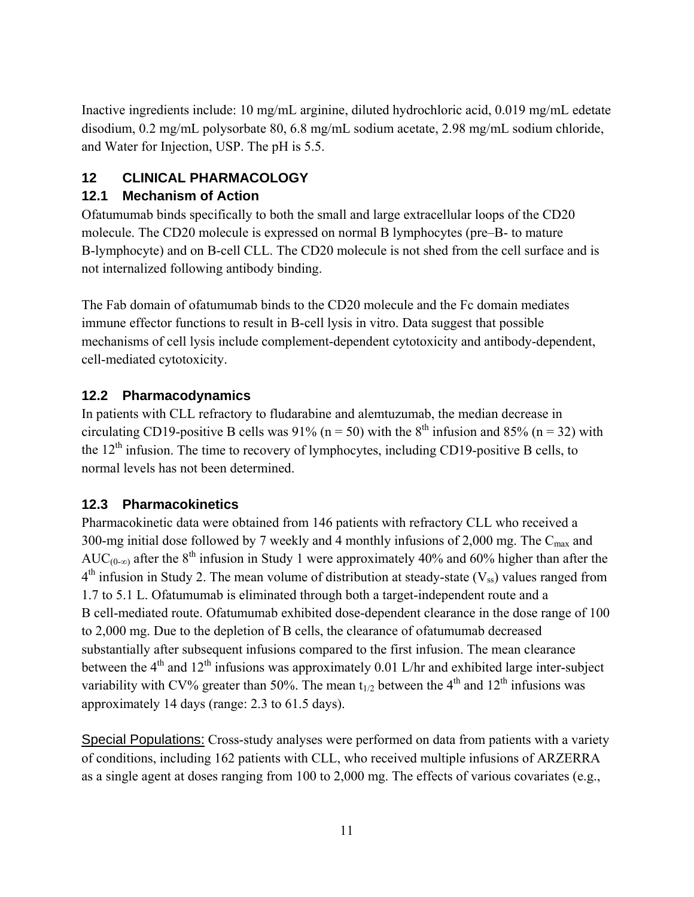<span id="page-10-0"></span>Inactive ingredients include: 10 mg/mL arginine, diluted hydrochloric acid, 0.019 mg/mL edetate disodium, 0.2 mg/mL polysorbate 80, 6.8 mg/mL sodium acetate, 2.98 mg/mL sodium chloride, and Water for Injection, USP. The pH is 5.5.

# **12 CLINICAL PHARMACOLOGY**

## **12.1 Mechanism of Action**

Ofatumumab binds specifically to both the small and large extracellular loops of the CD20 molecule. The CD20 molecule is expressed on normal B lymphocytes (pre–B- to mature B-lymphocyte) and on B-cell CLL. The CD20 molecule is not shed from the cell surface and is not internalized following antibody binding.

The Fab domain of ofatumumab binds to the CD20 molecule and the Fc domain mediates immune effector functions to result in B-cell lysis in vitro. Data suggest that possible mechanisms of cell lysis include complement-dependent cytotoxicity and antibody-dependent, cell-mediated cytotoxicity.

## **12.2 Pharmacodynamics**

In patients with CLL refractory to fludarabine and alemtuzumab, the median decrease in circulating CD19-positive B cells was 91% ( $n = 50$ ) with the 8<sup>th</sup> infusion and 85% ( $n = 32$ ) with the  $12<sup>th</sup>$  infusion. The time to recovery of lymphocytes, including CD19-positive B cells, to normal levels has not been determined.

## **12.3 Pharmacokinetics**

Pharmacokinetic data were obtained from 146 patients with refractory CLL who received a 300-mg initial dose followed by 7 weekly and 4 monthly infusions of 2,000 mg. The  $C_{\text{max}}$  and AUC<sub>(0-∞)</sub> after the 8<sup>th</sup> infusion in Study 1 were approximately 40% and 60% higher than after the  $4<sup>th</sup>$  infusion in Study 2. The mean volume of distribution at steady-state (V<sub>ss</sub>) values ranged from 1.7 to 5.1 L. Ofatumumab is eliminated through both a target-independent route and a B cell-mediated route. Ofatumumab exhibited dose-dependent clearance in the dose range of 100 to 2,000 mg. Due to the depletion of B cells, the clearance of ofatumumab decreased substantially after subsequent infusions compared to the first infusion. The mean clearance between the  $4<sup>th</sup>$  and  $12<sup>th</sup>$  infusions was approximately 0.01 L/hr and exhibited large inter-subject variability with CV% greater than 50%. The mean  $t_{1/2}$  between the 4<sup>th</sup> and 12<sup>th</sup> infusions was approximately 14 days (range: 2.3 to 61.5 days).

Special Populations: Cross-study analyses were performed on data from patients with a variety of conditions, including 162 patients with CLL, who received multiple infusions of ARZERRA as a single agent at doses ranging from 100 to 2,000 mg. The effects of various covariates (e.g.,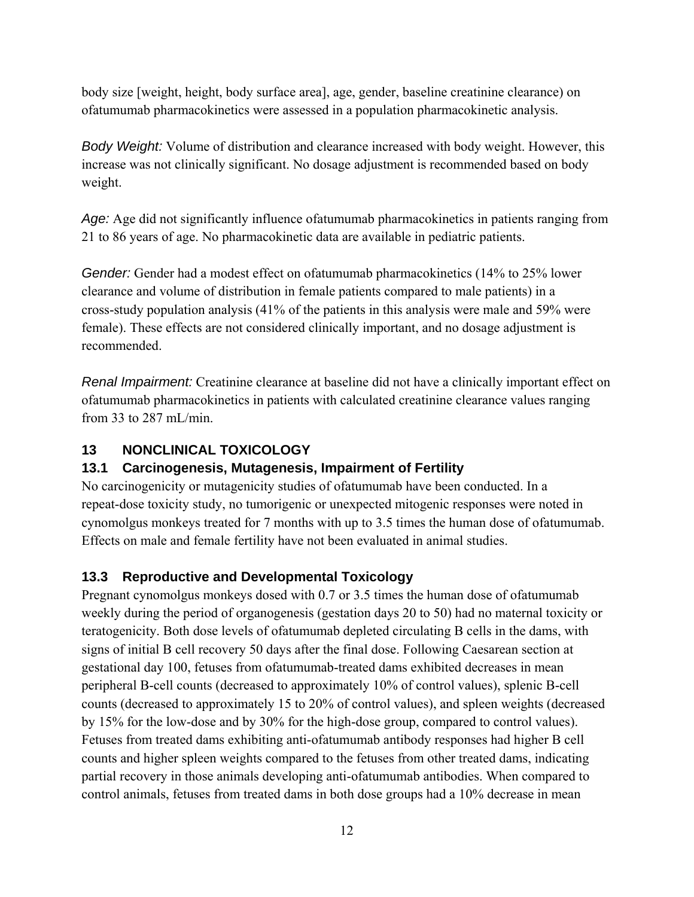<span id="page-11-0"></span>body size [weight, height, body surface area], age, gender, baseline creatinine clearance) on ofatumumab pharmacokinetics were assessed in a population pharmacokinetic analysis.

*Body Weight:* Volume of distribution and clearance increased with body weight. However, this increase was not clinically significant. No dosage adjustment is recommended based on body weight.

*Age:* Age did not significantly influence ofatumumab pharmacokinetics in patients ranging from 21 to 86 years of age. No pharmacokinetic data are available in pediatric patients.

*Gender:* Gender had a modest effect on ofatumumab pharmacokinetics (14% to 25% lower clearance and volume of distribution in female patients compared to male patients) in a cross-study population analysis (41% of the patients in this analysis were male and 59% were female). These effects are not considered clinically important, and no dosage adjustment is recommended.

*Renal Impairment:* Creatinine clearance at baseline did not have a clinically important effect on ofatumumab pharmacokinetics in patients with calculated creatinine clearance values ranging from 33 to 287 mL/min.

## **13 NONCLINICAL TOXICOLOGY**

## **13.1 Carcinogenesis, Mutagenesis, Impairment of Fertility**

No carcinogenicity or mutagenicity studies of ofatumumab have been conducted. In a repeat-dose toxicity study, no tumorigenic or unexpected mitogenic responses were noted in cynomolgus monkeys treated for 7 months with up to 3.5 times the human dose of ofatumumab. Effects on male and female fertility have not been evaluated in animal studies.

## **13.3 Reproductive and Developmental Toxicology**

Pregnant cynomolgus monkeys dosed with 0.7 or 3.5 times the human dose of ofatumumab weekly during the period of organogenesis (gestation days 20 to 50) had no maternal toxicity or teratogenicity. Both dose levels of ofatumumab depleted circulating B cells in the dams, with signs of initial B cell recovery 50 days after the final dose. Following Caesarean section at gestational day 100, fetuses from ofatumumab-treated dams exhibited decreases in mean peripheral B-cell counts (decreased to approximately 10% of control values), splenic B-cell counts (decreased to approximately 15 to 20% of control values), and spleen weights (decreased by 15% for the low-dose and by 30% for the high-dose group, compared to control values). Fetuses from treated dams exhibiting anti-ofatumumab antibody responses had higher B cell counts and higher spleen weights compared to the fetuses from other treated dams, indicating partial recovery in those animals developing anti-ofatumumab antibodies. When compared to control animals, fetuses from treated dams in both dose groups had a 10% decrease in mean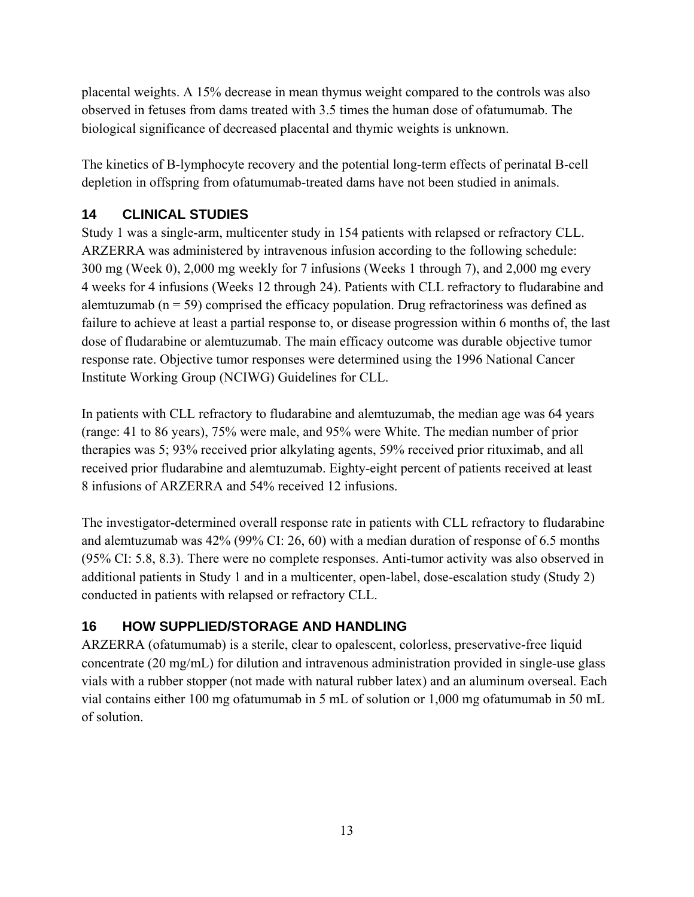<span id="page-12-0"></span>placental weights. A 15% decrease in mean thymus weight compared to the controls was also observed in fetuses from dams treated with 3.5 times the human dose of ofatumumab. The biological significance of decreased placental and thymic weights is unknown.

The kinetics of B-lymphocyte recovery and the potential long-term effects of perinatal B-cell depletion in offspring from ofatumumab-treated dams have not been studied in animals.

## **14 CLINICAL STUDIES**

Study 1 was a single-arm, multicenter study in 154 patients with relapsed or refractory CLL. ARZERRA was administered by intravenous infusion according to the following schedule: 300 mg (Week 0), 2,000 mg weekly for 7 infusions (Weeks 1 through 7), and 2,000 mg every 4 weeks for 4 infusions (Weeks 12 through 24). Patients with CLL refractory to fludarabine and alemtuzumab ( $n = 59$ ) comprised the efficacy population. Drug refractoriness was defined as failure to achieve at least a partial response to, or disease progression within 6 months of, the last dose of fludarabine or alemtuzumab. The main efficacy outcome was durable objective tumor response rate. Objective tumor responses were determined using the 1996 National Cancer Institute Working Group (NCIWG) Guidelines for CLL.

In patients with CLL refractory to fludarabine and alemtuzumab, the median age was 64 years (range: 41 to 86 years), 75% were male, and 95% were White. The median number of prior therapies was 5; 93% received prior alkylating agents, 59% received prior rituximab, and all received prior fludarabine and alemtuzumab. Eighty-eight percent of patients received at least 8 infusions of ARZERRA and 54% received 12 infusions.

The investigator-determined overall response rate in patients with CLL refractory to fludarabine and alemtuzumab was 42% (99% CI: 26, 60) with a median duration of response of 6.5 months (95% CI: 5.8, 8.3). There were no complete responses. Anti-tumor activity was also observed in additional patients in Study 1 and in a multicenter, open-label, dose-escalation study (Study 2) conducted in patients with relapsed or refractory CLL.

## **16 HOW SUPPLIED/STORAGE AND HANDLING**

ARZERRA (ofatumumab) is a sterile, clear to opalescent, colorless, preservative-free liquid concentrate (20 mg/mL) for dilution and intravenous administration provided in single-use glass vials with a rubber stopper (not made with natural rubber latex) and an aluminum overseal. Each vial contains either 100 mg ofatumumab in 5 mL of solution or 1,000 mg ofatumumab in 50 mL of solution.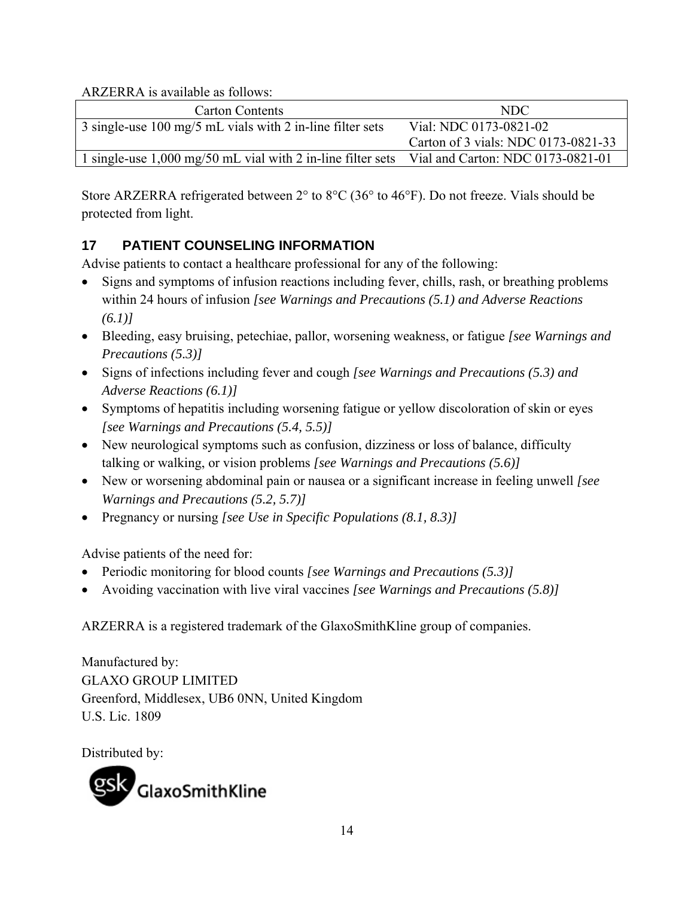<span id="page-13-0"></span>ARZERRA is available as follows:

| <b>Carton Contents</b>                                                                        | NDC                                 |
|-----------------------------------------------------------------------------------------------|-------------------------------------|
| 3 single-use 100 mg/5 mL vials with 2 in-line filter sets                                     | Vial: NDC 0173-0821-02              |
|                                                                                               | Carton of 3 vials: NDC 0173-0821-33 |
| 1 single-use 1,000 mg/50 mL vial with 2 in-line filter sets Vial and Carton: NDC 0173-0821-01 |                                     |

Store ARZERRA refrigerated between 2° to 8°C (36° to 46°F). Do not freeze. Vials should be protected from light.

## **17 PATIENT COUNSELING INFORMATION**

Advise patients to contact a healthcare professional for any of the following:

- Signs and symptoms of infusion reactions including fever, chills, rash, or breathing problems within 24 hours of infusion *[see Warnings and Precautions (5.1) and Adverse Reactions (6.1)]*
- Bleeding, easy bruising, petechiae, pallor, worsening weakness, or fatigue *[see Warnings and Precautions (5.3)]*
- Signs of infections including fever and cough *[see Warnings and Precautions (5.3) and Adverse Reactions (6.1)]*
- Symptoms of hepatitis including worsening fatigue or yellow discoloration of skin or eyes *[see Warnings and Precautions (5.4, 5.5)]*
- New neurological symptoms such as confusion, dizziness or loss of balance, difficulty talking or walking, or vision problems *[see Warnings and Precautions (5.6)]*
- New or worsening abdominal pain or nausea or a significant increase in feeling unwell *[see Warnings and Precautions (5.2, 5.7)]*
- Pregnancy or nursing *[see Use in Specific Populations (8.1, 8.3)]*

Advise patients of the need for:

- Periodic monitoring for blood counts *[see Warnings and Precautions (5.3)]*
- Avoiding vaccination with live viral vaccines *[see Warnings and Precautions (5.8)]*

ARZERRA is a registered trademark of the GlaxoSmithKline group of companies.

Manufactured by: GLAXO GROUP LIMITED Greenford, Middlesex, UB6 0NN, United Kingdom U.S. Lic. 1809

Distributed by: